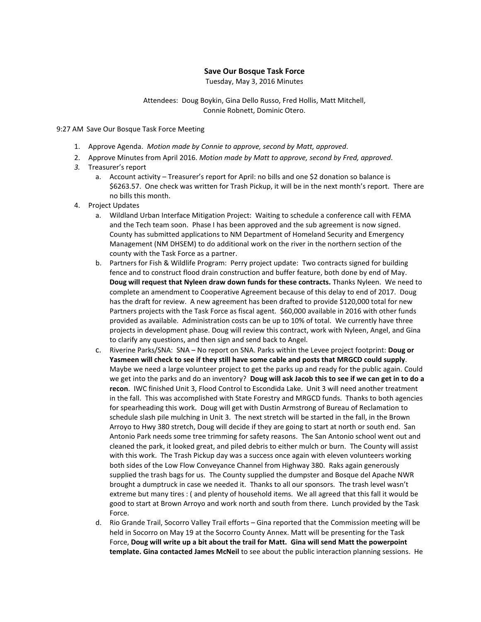## **Save Our Bosque Task Force**

Tuesday, May 3, 2016 Minutes

Attendees: Doug Boykin, Gina Dello Russo, Fred Hollis, Matt Mitchell, Connie Robnett, Dominic Otero.

9:27 AM Save Our Bosque Task Force Meeting

- 1. Approve Agenda. *Motion made by Connie to approve, second by Matt, approved*.
- 2. Approve Minutes from April 2016. *Motion made by Matt to approve, second by Fred, approved*.
- *3.* Treasurer's report
	- a. Account activity Treasurer's report for April: no bills and one \$2 donation so balance is \$6263.57. One check was written for Trash Pickup, it will be in the next month's report. There are no bills this month.
- 4. Project Updates
	- a. Wildland Urban Interface Mitigation Project: Waiting to schedule a conference call with FEMA and the Tech team soon. Phase I has been approved and the sub agreement is now signed. County has submitted applications to NM Department of Homeland Security and Emergency Management (NM DHSEM) to do additional work on the river in the northern section of the county with the Task Force as a partner.
	- b. Partners for Fish & Wildlife Program: Perry project update: Two contracts signed for building fence and to construct flood drain construction and buffer feature, both done by end of May. **Doug will request that Nyleen draw down funds for these contracts.** Thanks Nyleen. We need to complete an amendment to Cooperative Agreement because of this delay to end of 2017. Doug has the draft for review. A new agreement has been drafted to provide \$120,000 total for new Partners projects with the Task Force as fiscal agent. \$60,000 available in 2016 with other funds provided as available. Administration costs can be up to 10% of total. We currently have three projects in development phase. Doug will review this contract, work with Nyleen, Angel, and Gina to clarify any questions, and then sign and send back to Angel.
	- c. Riverine Parks/SNA: SNA No report on SNA. Parks within the Levee project footprint: **Doug or Yasmeen will check to see if they still have some cable and posts that MRGCD could supply**. Maybe we need a large volunteer project to get the parks up and ready for the public again. Could we get into the parks and do an inventory? **Doug will ask Jacob this to see if we can get in to do a recon**. IWC finished Unit 3, Flood Control to Escondida Lake. Unit 3 will need another treatment in the fall. This was accomplished with State Forestry and MRGCD funds. Thanks to both agencies for spearheading this work. Doug will get with Dustin Armstrong of Bureau of Reclamation to schedule slash pile mulching in Unit 3. The next stretch will be started in the fall, in the Brown Arroyo to Hwy 380 stretch, Doug will decide if they are going to start at north or south end. San Antonio Park needs some tree trimming for safety reasons. The San Antonio school went out and cleaned the park, it looked great, and piled debris to either mulch or burn. The County will assist with this work. The Trash Pickup day was a success once again with eleven volunteers working both sides of the Low Flow Conveyance Channel from Highway 380. Raks again generously supplied the trash bags for us. The County supplied the dumpster and Bosque del Apache NWR brought a dumptruck in case we needed it. Thanks to all our sponsors. The trash level wasn't extreme but many tires : ( and plenty of household items. We all agreed that this fall it would be good to start at Brown Arroyo and work north and south from there. Lunch provided by the Task Force.
	- d. Rio Grande Trail, Socorro Valley Trail efforts Gina reported that the Commission meeting will be held in Socorro on May 19 at the Socorro County Annex. Matt will be presenting for the Task Force, **Doug will write up a bit about the trail for Matt. Gina will send Matt the powerpoint template. Gina contacted James McNeil** to see about the public interaction planning sessions. He